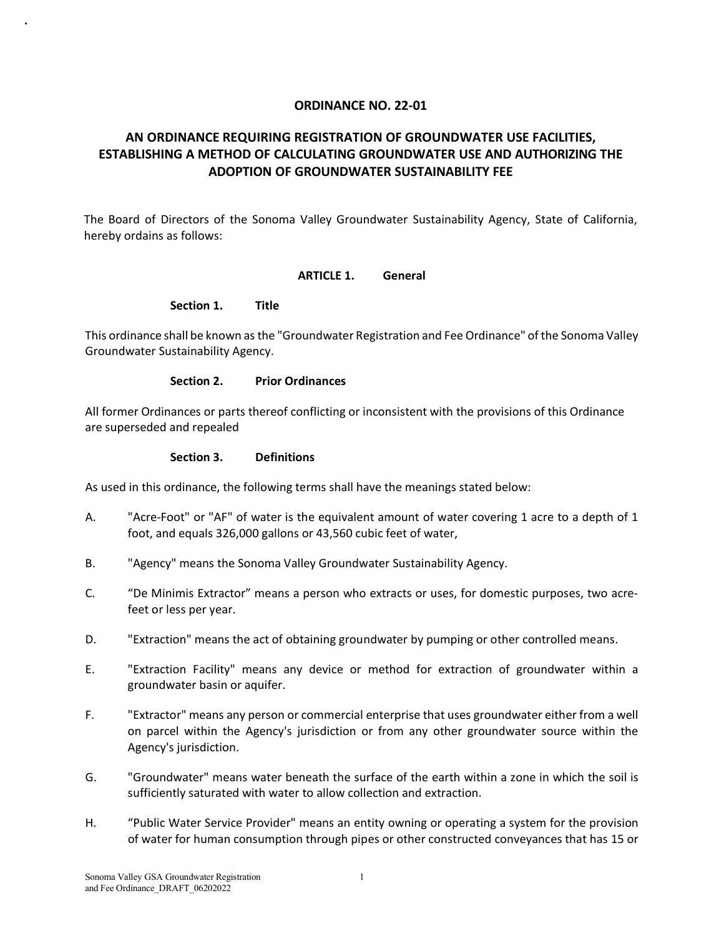### **ORDINANCE NO. 22-01**

# **AN ORDINANCE REQUIRING REGISTRATION OF GROUNDWATER USE FACILITIES, ESTABLISHING A METHOD OF CALCULATING GROUNDWATER USE AND AUTHORIZING THE ADOPTION OF GROUNDWATER SUSTAINABILITY FEE**

The Board of Directors of the Sonoma Valley Groundwater Sustainability Agency, State of California, hereby ordains as follows:

#### **ARTICLE 1. General**

#### **Section 1. Title**

.

This ordinance shall be known as the "Groundwater Registration and Fee Ordinance" of the Sonoma Valley Groundwater Sustainability Agency.

#### **Section 2. Prior Ordinances**

All former Ordinances or parts thereof conflicting or inconsistent with the provisions of this Ordinance are superseded and repealed

### **Section 3. Definitions**

As used in this ordinance, the following terms shall have the meanings stated below:

- A. "Acre-Foot" or "AF" of water is the equivalent amount of water covering 1 acre to a depth of 1 foot, and equals 326,000 gallons or 43,560 cubic feet of water,
- B. "Agency" means the Sonoma Valley Groundwater Sustainability Agency.
- C. "De Minimis Extractor" means a person who extracts or uses, for domestic purposes, two acrefeet or less per year.
- D. "Extraction" means the act of obtaining groundwater by pumping or other controlled means.
- E. "Extraction Facility" means any device or method for extraction of groundwater within a groundwater basin or aquifer.
- F. "Extractor" means any person or commercial enterprise that uses groundwater either from a well on parcel within the Agency's jurisdiction or from any other groundwater source within the Agency's jurisdiction.
- G. "Groundwater" means water beneath the surface of the earth within a zone in which the soil is sufficiently saturated with water to allow collection and extraction.
- H. "Public Water Service Provider" means an entity owning or operating a system for the provision of water for human consumption through pipes or other constructed conveyances that has 15 or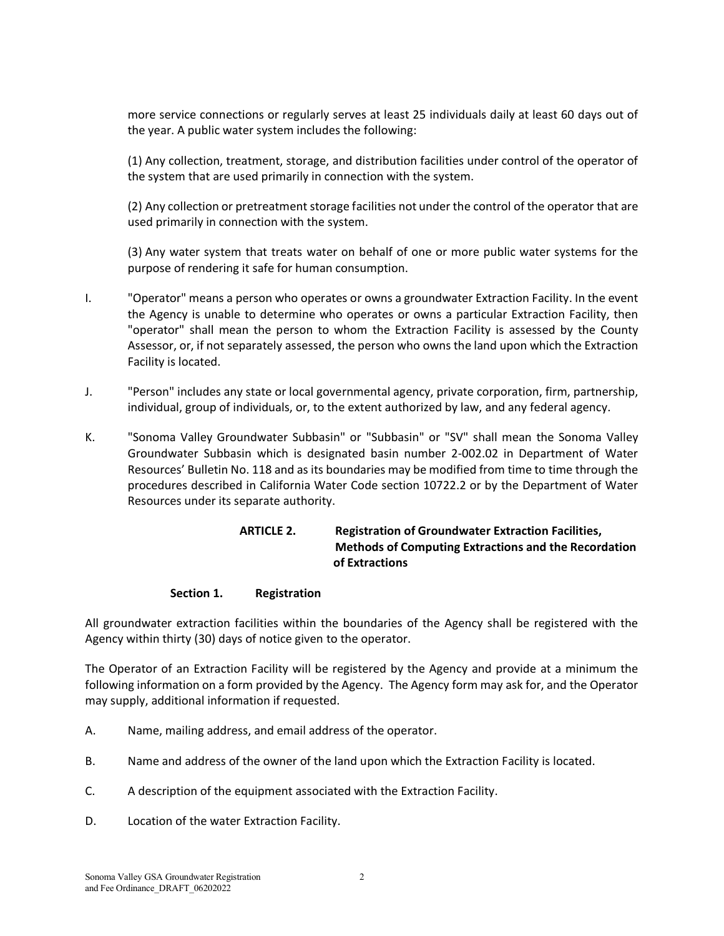more service connections or regularly serves at least 25 individuals daily at least 60 days out of the year. A public water system includes the following:

(1) Any collection, treatment, storage, and distribution facilities under control of the operator of the system that are used primarily in connection with the system.

(2) Any collection or pretreatment storage facilities not under the control of the operator that are used primarily in connection with the system.

(3) Any water system that treats water on behalf of one or more public water systems for the purpose of rendering it safe for human consumption.

- I. "Operator" means a person who operates or owns a groundwater Extraction Facility. In the event the Agency is unable to determine who operates or owns a particular Extraction Facility, then "operator" shall mean the person to whom the Extraction Facility is assessed by the County Assessor, or, if not separately assessed, the person who owns the land upon which the Extraction Facility is located.
- J. "Person" includes any state or local governmental agency, private corporation, firm, partnership, individual, group of individuals, or, to the extent authorized by law, and any federal agency.
- K. "Sonoma Valley Groundwater Subbasin" or "Subbasin" or "SV" shall mean the Sonoma Valley Groundwater Subbasin which is designated basin number 2-002.02 in Department of Water Resources' Bulletin No. 118 and as its boundaries may be modified from time to time through the procedures described in California Water Code section 10722.2 or by the Department of Water Resources under its separate authority.

# **ARTICLE 2. Registration of Groundwater Extraction Facilities, Methods of Computing Extractions and the Recordation of Extractions**

### **Section 1. Registration**

All groundwater extraction facilities within the boundaries of the Agency shall be registered with the Agency within thirty (30) days of notice given to the operator.

The Operator of an Extraction Facility will be registered by the Agency and provide at a minimum the following information on a form provided by the Agency. The Agency form may ask for, and the Operator may supply, additional information if requested.

- A. Name, mailing address, and email address of the operator.
- B. Name and address of the owner of the land upon which the Extraction Facility is located.
- C. A description of the equipment associated with the Extraction Facility.
- D. Location of the water Extraction Facility.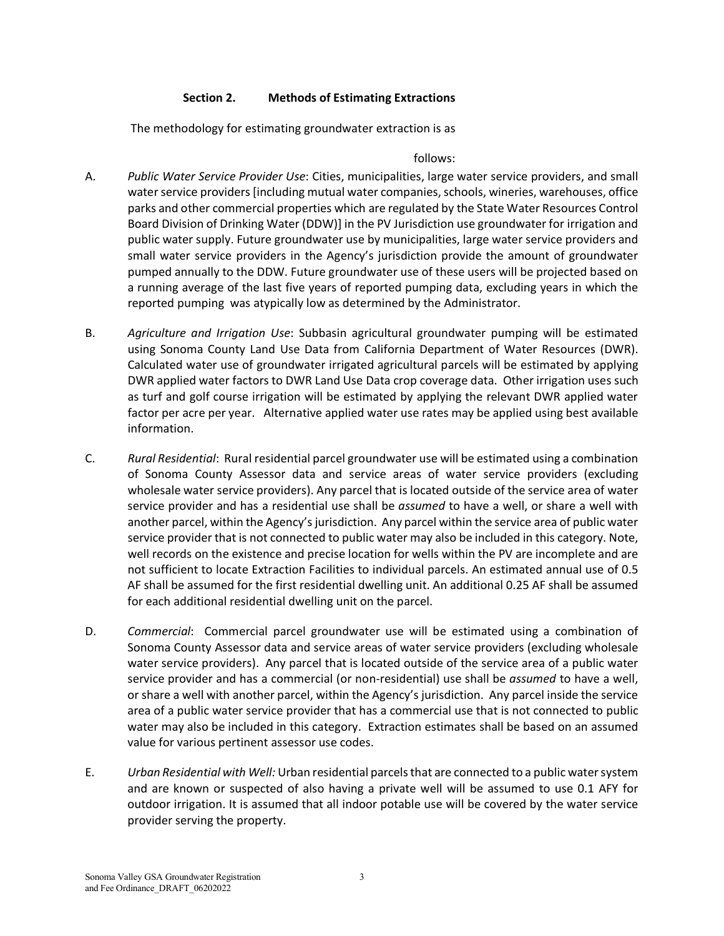## **Section 2. Methods of Estimating Extractions**

The methodology for estimating groundwater extraction is as

### follows:

- A. *Public Water Service Provider Use*: Cities, municipalities, large water service providers, and small water service providers [including mutual water companies, schools, wineries, warehouses, office parks and other commercial properties which are regulated by the State Water Resources Control Board Division of Drinking Water (DDW)] in the PV Jurisdiction use groundwater for irrigation and public water supply. Future groundwater use by municipalities, large water service providers and small water service providers in the Agency's jurisdiction provide the amount of groundwater pumped annually to the DDW. Future groundwater use of these users will be projected based on a running average of the last five years of reported pumping data, excluding years in which the reported pumping was atypically low as determined by the Administrator.
- B. *Agriculture and Irrigation Use*: Subbasin agricultural groundwater pumping will be estimated using Sonoma County Land Use Data from California Department of Water Resources (DWR). Calculated water use of groundwater irrigated agricultural parcels will be estimated by applying DWR applied water factors to DWR Land Use Data crop coverage data. Other irrigation uses such as turf and golf course irrigation will be estimated by applying the relevant DWR applied water factor per acre per year. Alternative applied water use rates may be applied using best available information.
- C. *Rural Residential*: Rural residential parcel groundwater use will be estimated using a combination of Sonoma County Assessor data and service areas of water service providers (excluding wholesale water service providers). Any parcel that is located outside of the service area of water service provider and has a residential use shall be *assumed* to have a well, or share a well with another parcel, within the Agency's jurisdiction. Any parcel within the service area of public water service provider that is not connected to public water may also be included in this category. Note, well records on the existence and precise location for wells within the PV are incomplete and are not sufficient to locate Extraction Facilities to individual parcels. An estimated annual use of 0.5 AF shall be assumed for the first residential dwelling unit. An additional 0.25 AF shall be assumed for each additional residential dwelling unit on the parcel.
- D. *Commercial*: Commercial parcel groundwater use will be estimated using a combination of Sonoma County Assessor data and service areas of water service providers (excluding wholesale water service providers). Any parcel that is located outside of the service area of a public water service provider and has a commercial (or non-residential) use shall be *assumed* to have a well, or share a well with another parcel, within the Agency's jurisdiction. Any parcel inside the service area of a public water service provider that has a commercial use that is not connected to public water may also be included in this category. Extraction estimates shall be based on an assumed value for various pertinent assessor use codes.
- E. *Urban Residential with Well:* Urban residential parcelsthat are connected to a public water system and are known or suspected of also having a private well will be assumed to use 0.1 AFY for outdoor irrigation. It is assumed that all indoor potable use will be covered by the water service provider serving the property.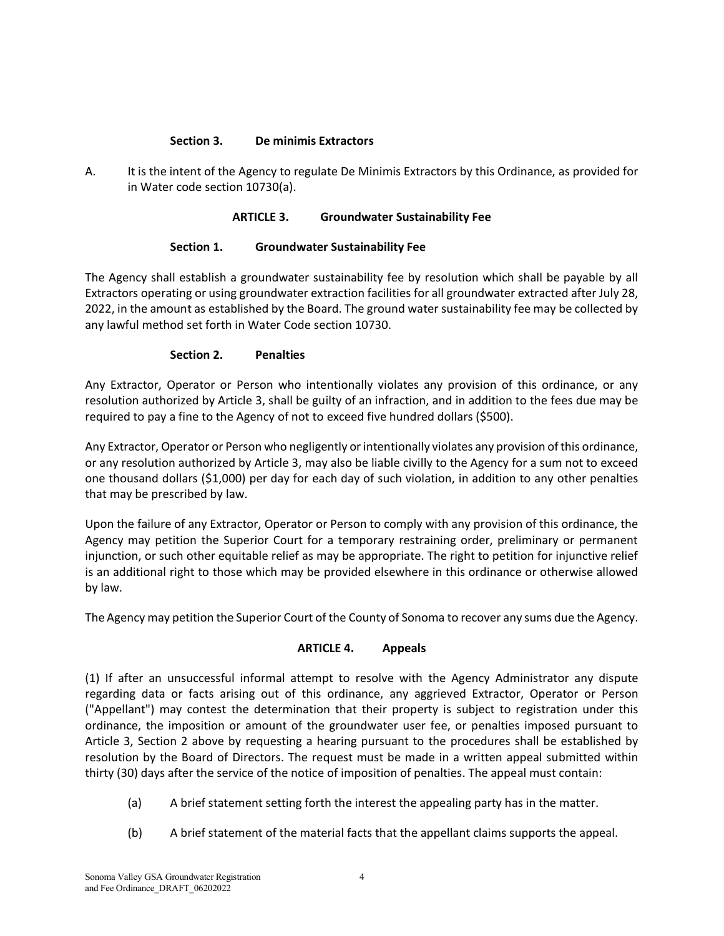## **Section 3. De minimis Extractors**

A. It is the intent of the Agency to regulate De Minimis Extractors by this Ordinance, as provided for in Water code section 10730(a).

## **ARTICLE 3. Groundwater Sustainability Fee**

# **Section 1. Groundwater Sustainability Fee**

The Agency shall establish a groundwater sustainability fee by resolution which shall be payable by all Extractors operating or using groundwater extraction facilities for all groundwater extracted after July 28, 2022, in the amount as established by the Board. The ground water sustainability fee may be collected by any lawful method set forth in Water Code section 10730.

# **Section 2. Penalties**

Any Extractor, Operator or Person who intentionally violates any provision of this ordinance, or any resolution authorized by Article 3, shall be guilty of an infraction, and in addition to the fees due may be required to pay a fine to the Agency of not to exceed five hundred dollars (\$500).

Any Extractor, Operator or Person who negligently or intentionally violates any provision of this ordinance, or any resolution authorized by Article 3, may also be liable civilly to the Agency for a sum not to exceed one thousand dollars (\$1,000) per day for each day of such violation, in addition to any other penalties that may be prescribed by law.

Upon the failure of any Extractor, Operator or Person to comply with any provision of this ordinance, the Agency may petition the Superior Court for a temporary restraining order, preliminary or permanent injunction, or such other equitable relief as may be appropriate. The right to petition for injunctive relief is an additional right to those which may be provided elsewhere in this ordinance or otherwise allowed by law.

The Agency may petition the Superior Court of the County of Sonoma to recover any sums due the Agency.

### **ARTICLE 4. Appeals**

(1) If after an unsuccessful informal attempt to resolve with the Agency Administrator any dispute regarding data or facts arising out of this ordinance, any aggrieved Extractor, Operator or Person ("Appellant") may contest the determination that their property is subject to registration under this ordinance, the imposition or amount of the groundwater user fee, or penalties imposed pursuant to Article 3, Section 2 above by requesting a hearing pursuant to the procedures shall be established by resolution by the Board of Directors. The request must be made in a written appeal submitted within thirty (30) days after the service of the notice of imposition of penalties. The appeal must contain:

- (a) A brief statement setting forth the interest the appealing party has in the matter.
- (b) A brief statement of the material facts that the appellant claims supports the appeal.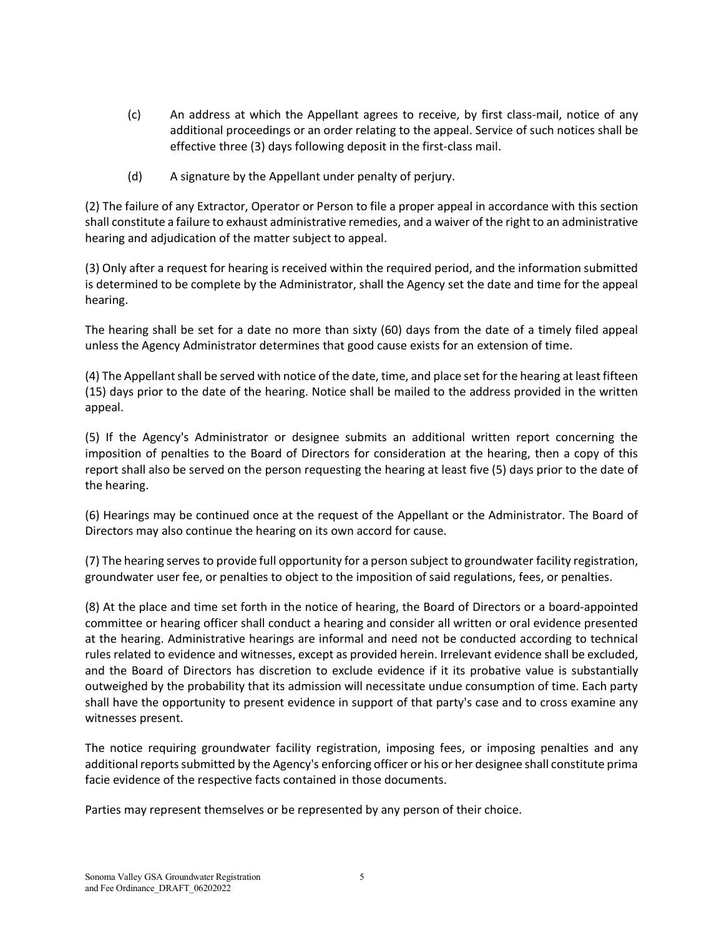- (c) An address at which the Appellant agrees to receive, by first class-mail, notice of any additional proceedings or an order relating to the appeal. Service of such notices shall be effective three (3) days following deposit in the first-class mail.
- (d) A signature by the Appellant under penalty of perjury.

(2) The failure of any Extractor, Operator or Person to file a proper appeal in accordance with this section shall constitute a failure to exhaust administrative remedies, and a waiver of the right to an administrative hearing and adjudication of the matter subject to appeal.

(3) Only after a request for hearing is received within the required period, and the information submitted is determined to be complete by the Administrator, shall the Agency set the date and time for the appeal hearing.

The hearing shall be set for a date no more than sixty (60) days from the date of a timely filed appeal unless the Agency Administrator determines that good cause exists for an extension of time.

(4) The Appellant shall be served with notice of the date, time, and place set for the hearing at least fifteen (15) days prior to the date of the hearing. Notice shall be mailed to the address provided in the written appeal.

(5) If the Agency's Administrator or designee submits an additional written report concerning the imposition of penalties to the Board of Directors for consideration at the hearing, then a copy of this report shall also be served on the person requesting the hearing at least five (5) days prior to the date of the hearing.

(6) Hearings may be continued once at the request of the Appellant or the Administrator. The Board of Directors may also continue the hearing on its own accord for cause.

(7) The hearing serves to provide full opportunity for a person subject to groundwater facility registration, groundwater user fee, or penalties to object to the imposition of said regulations, fees, or penalties.

(8) At the place and time set forth in the notice of hearing, the Board of Directors or a board-appointed committee or hearing officer shall conduct a hearing and consider all written or oral evidence presented at the hearing. Administrative hearings are informal and need not be conducted according to technical rules related to evidence and witnesses, except as provided herein. Irrelevant evidence shall be excluded, and the Board of Directors has discretion to exclude evidence if it its probative value is substantially outweighed by the probability that its admission will necessitate undue consumption of time. Each party shall have the opportunity to present evidence in support of that party's case and to cross examine any witnesses present.

The notice requiring groundwater facility registration, imposing fees, or imposing penalties and any additional reports submitted by the Agency's enforcing officer or his or her designee shall constitute prima facie evidence of the respective facts contained in those documents.

Parties may represent themselves or be represented by any person of their choice.